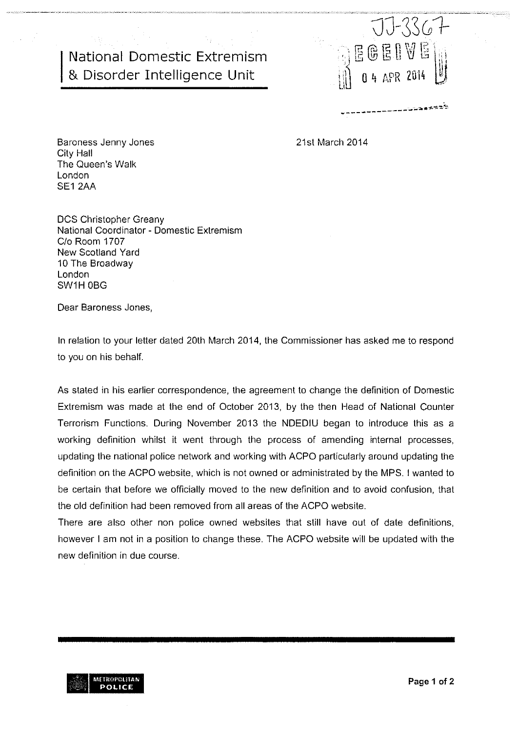## National Domestic Extremism & Disorder Intefligence Unit



21st March 2014

Baroness Jenny Jones City Hall The Queen's Walk London SE1 2AA

DCS Christopher Greany National Coordinator - Domestic Extremism C/o Room 1707 New Scotland Yard 10 The Broadway London SW1H OBG

Dear Baroness Jones,

In relation to your letter dated 20th March 2014, the Commissioner has asked me to respond to you on his behalf.

As stated in his earlier correspondence, the agreement to change the definition of Domestic Extremism was made at the end of October 2013, by the then Head of National Counter Terrorism Functions. During November 2013 the NDEDIU began to introduce this as a working definition whilst it went through the process of amending internal processes, updating the national police network and working with ACPO particularly around updating the definition on the ACPO website, which is not owned or administrated by the MPS. <sup>I</sup> wanted to be certain that before we officially moved to the new definition and to avoid confusion, that the old definition had been removed from all areas of the ACPO website.

There are also other non police owned websites that still have out of date definitions, however <sup>I</sup> am not in a position to change these. The ACPO website will be updated with the new definition in due course.